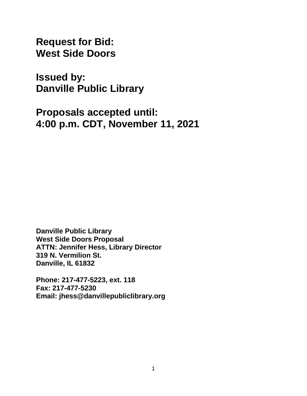**Request for Bid: West Side Doors**

**Issued by: Danville Public Library**

**Proposals accepted until: 4:00 p.m. CDT, November 11, 2021**

**Danville Public Library West Side Doors Proposal ATTN: Jennifer Hess, Library Director 319 N. Vermilion St. Danville, IL 61832** 

**Phone: 217-477-5223, ext. 118 Fax: 217-477-5230 Email: jhess@danvillepubliclibrary.org**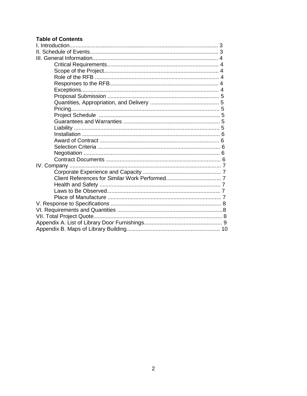### **Table of Contents**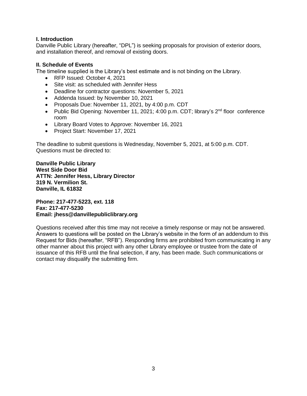#### **I. Introduction**

Danville Public Library (hereafter, "DPL") is seeking proposals for provision of exterior doors, and installation thereof, and removal of existing doors.

#### **II. Schedule of Events**

The timeline supplied is the Library's best estimate and is not binding on the Library.

- RFP Issued: October 4, 2021
- Site visit: as scheduled with Jennifer Hess
- Deadline for contractor questions: November 5, 2021
- Addenda Issued: by November 10, 2021
- Proposals Due: November 11, 2021, by 4:00 p.m. CDT
- Public Bid Opening: November 11, 2021; 4:00 p.m. CDT; library's 2<sup>nd</sup> floor conference room
- Library Board Votes to Approve: November 16, 2021
- Project Start: November 17, 2021

The deadline to submit questions is Wednesday, November 5, 2021, at 5:00 p.m. CDT. Questions must be directed to:

**Danville Public Library West Side Door Bid ATTN: Jennifer Hess, Library Director 319 N. Vermilion St. Danville, IL 61832** 

**Phone: 217-477-5223, ext. 118 Fax: 217-477-5230 Email: jhess@danvillepubliclibrary.org** 

Questions received after this time may not receive a timely response or may not be answered. Answers to questions will be posted on the Library's website in the form of an addendum to this Request for Bids (hereafter, "RFB"). Responding firms are prohibited from communicating in any other manner about this project with any other Library employee or trustee from the date of issuance of this RFB until the final selection, if any, has been made. Such communications or contact may disqualify the submitting firm.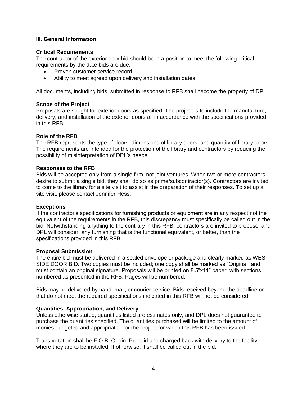#### **III. General Information**

#### **Critical Requirements**

The contractor of the exterior door bid should be in a position to meet the following critical requirements by the date bids are due.

- Proven customer service record
- Ability to meet agreed upon delivery and installation dates

All documents, including bids, submitted in response to RFB shall become the property of DPL.

#### **Scope of the Project**

Proposals are sought for exterior doors as specified. The project is to include the manufacture, delivery, and installation of the exterior doors all in accordance with the specifications provided in this RFB.

#### **Role of the RFB**

The RFB represents the type of doors, dimensions of library doors, and quantity of library doors. The requirements are intended for the protection of the library and contractors by reducing the possibility of misinterpretation of DPL's needs.

#### **Responses to the RFB**

Bids will be accepted only from a single firm, not joint ventures. When two or more contractors desire to submit a single bid, they shall do so as prime/subcontractor(s). Contractors are invited to come to the library for a site visit to assist in the preparation of their responses. To set up a site visit, please contact Jennifer Hess.

#### **Exceptions**

If the contractor's specifications for furnishing products or equipment are in any respect not the equivalent of the requirements in the RFB, this discrepancy must specifically be called out in the bid. Notwithstanding anything to the contrary in this RFB, contractors are invited to propose, and DPL will consider, any furnishing that is the functional equivalent, or better, than the specifications provided in this RFB.

#### **Proposal Submission**

The entire bid must be delivered in a sealed envelope or package and clearly marked as WEST SIDE DOOR BID. Two copies must be included; one copy shall be marked as "Original" and must contain an original signature. Proposals will be printed on 8.5"x11" paper, with sections numbered as presented in the RFB. Pages will be numbered.

Bids may be delivered by hand, mail, or courier service. Bids received beyond the deadline or that do not meet the required specifications indicated in this RFB will not be considered.

#### **Quantities, Appropriation, and Delivery**

Unless otherwise stated, quantities listed are estimates only, and DPL does not guarantee to purchase the quantities specified. The quantities purchased will be limited to the amount of monies budgeted and appropriated for the project for which this RFB has been issued.

Transportation shall be F.O.B. Origin, Prepaid and charged back with delivery to the facility where they are to be installed. If otherwise, it shall be called out in the bid.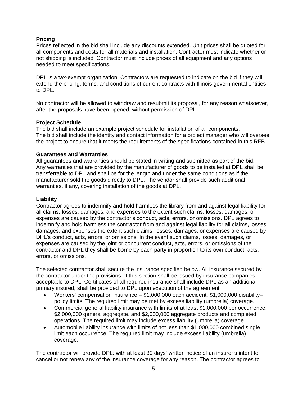#### **Pricing**

Prices reflected in the bid shall include any discounts extended. Unit prices shall be quoted for all components and costs for all materials and installation. Contractor must indicate whether or not shipping is included. Contractor must include prices of all equipment and any options needed to meet specifications.

DPL is a tax-exempt organization. Contractors are requested to indicate on the bid if they will extend the pricing, terms, and conditions of current contracts with Illinois governmental entities to DPL.

No contractor will be allowed to withdraw and resubmit its proposal, for any reason whatsoever, after the proposals have been opened, without permission of DPL.

#### **Project Schedule**

The bid shall include an example project schedule for installation of all components. The bid shall include the identity and contact information for a project manager who will oversee the project to ensure that it meets the requirements of the specifications contained in this RFB.

#### **Guarantees and Warranties**

All guarantees and warranties should be stated in writing and submitted as part of the bid. Any warranties that are provided by the manufacturer of goods to be installed at DPL shall be transferrable to DPL and shall be for the length and under the same conditions as if the manufacturer sold the goods directly to DPL. The vendor shall provide such additional warranties, if any, covering installation of the goods at DPL.

#### **Liability**

Contractor agrees to indemnify and hold harmless the library from and against legal liability for all claims, losses, damages, and expenses to the extent such claims, losses, damages, or expenses are caused by the contractor's conduct, acts, errors, or omissions. DPL agrees to indemnify and hold harmless the contractor from and against legal liability for all claims, losses, damages, and expenses the extent such claims, losses, damages, or expenses are caused by DPL's conduct, acts, errors, or omissions. In the event such claims, losses, damages, or expenses are caused by the joint or concurrent conduct, acts, errors, or omissions of the contractor and DPL they shall be borne by each party in proportion to its own conduct, acts, errors, or omissions.

The selected contractor shall secure the insurance specified below. All insurance secured by the contractor under the provisions of this section shall be issued by insurance companies acceptable to DPL. Certificates of all required insurance shall include DPL as an additional primary insured, shall be provided to DPL upon execution of the agreement.

- Workers' compensation insurance \$1,000,000 each accident, \$1,000,000 disability– policy limits. The required limit may be met by excess liability (umbrella) coverage.
- Commercial general liability insurance with limits of at least \$1,000,000 per occurrence, \$2,000,000 general aggregate, and \$2,000,000 aggregate products and completed operations. The required limit may include excess liability (umbrella) coverage.
- Automobile liability insurance with limits of not less than \$1,000,000 combined single limit each occurrence. The required limit may include excess liability (umbrella) coverage.

The contractor will provide DPL: with at least 30 days' written notice of an insurer's intent to cancel or not renew any of the insurance coverage for any reason. The contractor agrees to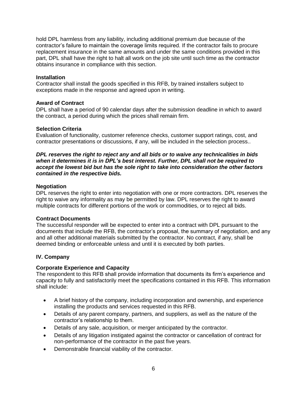hold DPL harmless from any liability, including additional premium due because of the contractor's failure to maintain the coverage limits required. If the contractor fails to procure replacement insurance in the same amounts and under the same conditions provided in this part, DPL shall have the right to halt all work on the job site until such time as the contractor obtains insurance in compliance with this section.

#### **Installation**

Contractor shall install the goods specified in this RFB, by trained installers subject to exceptions made in the response and agreed upon in writing.

#### **Award of Contract**

DPL shall have a period of 90 calendar days after the submission deadline in which to award the contract, a period during which the prices shall remain firm.

#### **Selection Criteria**

Evaluation of functionality, customer reference checks, customer support ratings, cost, and contractor presentations or discussions, if any, will be included in the selection process..

#### *DPL reserves the right to reject any and all bids or to waive any technicalities in bids when it determines it is in DPL's best interest. Further, DPL shall not be required to accept the lowest bid but has the sole right to take into consideration the other factors contained in the respective bids.*

#### **Negotiation**

DPL reserves the right to enter into negotiation with one or more contractors. DPL reserves the right to waive any informality as may be permitted by law. DPL reserves the right to award multiple contracts for different portions of the work or commodities, or to reject all bids.

#### **Contract Documents**

The successful responder will be expected to enter into a contract with DPL pursuant to the documents that include the RFB, the contractor's proposal, the summary of negotiation, and any and all other additional materials submitted by the contractor. No contract, if any, shall be deemed binding or enforceable unless and until it is executed by both parties.

#### **IV. Company**

#### **Corporate Experience and Capacity**

The respondent to this RFB shall provide information that documents its firm's experience and capacity to fully and satisfactorily meet the specifications contained in this RFB. This information shall include:

- A brief history of the company, including incorporation and ownership, and experience installing the products and services requested in this RFB.
- Details of any parent company, partners, and suppliers, as well as the nature of the contractor's relationship to them.
- Details of any sale, acquisition, or merger anticipated by the contractor.
- Details of any litigation instigated against the contractor or cancellation of contract for non-performance of the contractor in the past five years.
- Demonstrable financial viability of the contractor.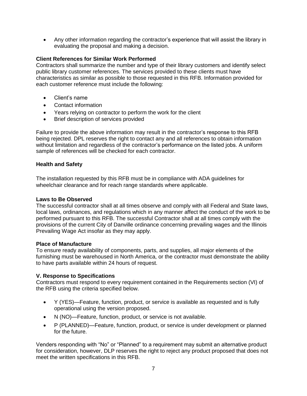Any other information regarding the contractor's experience that will assist the library in evaluating the proposal and making a decision.

### **Client References for Similar Work Performed**

Contractors shall summarize the number and type of their library customers and identify select public library customer references. The services provided to these clients must have characteristics as similar as possible to those requested in this RFB. Information provided for each customer reference must include the following:

- Client's name
- Contact information
- Years relying on contractor to perform the work for the client
- Brief description of services provided

Failure to provide the above information may result in the contractor's response to this RFB being rejected. DPL reserves the right to contact any and all references to obtain information without limitation and regardless of the contractor's performance on the listed jobs. A uniform sample of references will be checked for each contractor.

#### **Health and Safety**

The installation requested by this RFB must be in compliance with ADA guidelines for wheelchair clearance and for reach range standards where applicable.

#### **Laws to Be Observed**

The successful contractor shall at all times observe and comply with all Federal and State laws, local laws, ordinances, and regulations which in any manner affect the conduct of the work to be performed pursuant to this RFB. The successful Contractor shall at all times comply with the provisions of the current City of Danville ordinance concerning prevailing wages and the Illinois Prevailing Wage Act insofar as they may apply.

#### **Place of Manufacture**

To ensure ready availability of components, parts, and supplies, all major elements of the furnishing must be warehoused in North America, or the contractor must demonstrate the ability to have parts available within 24 hours of request.

#### **V. Response to Specifications**

Contractors must respond to every requirement contained in the Requirements section (VI) of the RFB using the criteria specified below.

- Y (YES)—Feature, function, product, or service is available as requested and is fully operational using the version proposed.
- N (NO)—Feature, function, product, or service is not available.
- P (PLANNED)—Feature, function, product, or service is under development or planned for the future.

Venders responding with "No" or "Planned" to a requirement may submit an alternative product for consideration, however, DLP reserves the right to reject any product proposed that does not meet the written specifications in this RFB.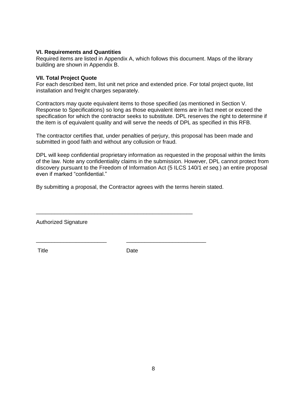#### **VI. Requirements and Quantities**

Required items are listed in Appendix A, which follows this document. Maps of the library building are shown in Appendix B.

#### **VII. Total Project Quote**

For each described item, list unit net price and extended price. For total project quote, list installation and freight charges separately.

Contractors may quote equivalent items to those specified (as mentioned in Section V. Response to Specifications) so long as those equivalent items are in fact meet or exceed the specification for which the contractor seeks to substitute. DPL reserves the right to determine if the item is of equivalent quality and will serve the needs of DPL as specified in this RFB.

The contractor certifies that, under penalties of perjury, this proposal has been made and submitted in good faith and without any collusion or fraud.

DPL will keep confidential proprietary information as requested in the proposal within the limits of the law. Note any confidentiality claims in the submission. However, DPL cannot protect from discovery pursuant to the Freedom of Information Act (5 ILCS 140/1 *et seq.*) an entire proposal even if marked "confidential."

By submitting a proposal, the Contractor agrees with the terms herein stated.

\_\_\_\_\_\_\_\_\_\_\_\_\_\_\_\_\_\_\_\_\_\_\_\_\_\_\_\_\_\_\_\_\_\_\_\_\_\_\_\_\_\_\_\_\_\_\_\_\_\_\_

\_\_\_\_\_\_\_\_\_\_\_\_\_\_\_\_\_\_\_\_\_\_\_ \_\_\_\_\_\_\_\_\_\_\_\_\_\_\_\_\_\_\_\_\_\_\_\_\_\_

Authorized Signature

Title Date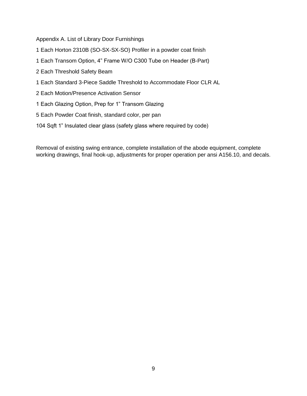Appendix A. List of Library Door Furnishings

- 1 Each Horton 2310B (SO-SX-SX-SO) Profiler in a powder coat finish
- 1 Each Transom Option, 4" Frame W/O C300 Tube on Header (B-Part)
- 2 Each Threshold Safety Beam
- 1 Each Standard 3-Piece Saddle Threshold to Accommodate Floor CLR AL
- 2 Each Motion/Presence Activation Sensor
- 1 Each Glazing Option, Prep for 1" Transom Glazing
- 5 Each Powder Coat finish, standard color, per pan
- 104 Sqft 1" Insulated clear glass (safety glass where required by code)

Removal of existing swing entrance, complete installation of the abode equipment, complete working drawings, final hook-up, adjustments for proper operation per ansi A156.10, and decals.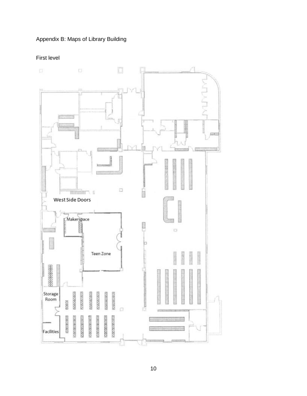# Appendix B: Maps of Library Building

# First level

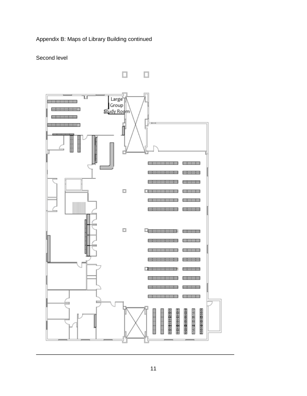# Appendix B: Maps of Library Building continued

### Second level